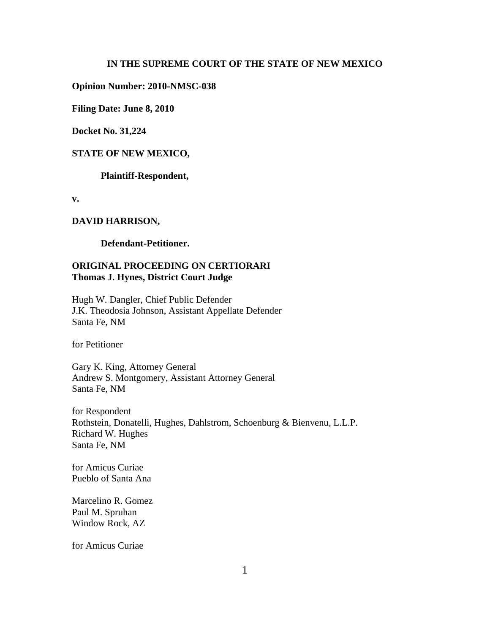#### **IN THE SUPREME COURT OF THE STATE OF NEW MEXICO**

**Opinion Number: 2010-NMSC-038**

**Filing Date: June 8, 2010** 

**Docket No. 31,224**

#### **STATE OF NEW MEXICO,**

**Plaintiff-Respondent,**

**v.**

#### **DAVID HARRISON,**

**Defendant-Petitioner.**

# **ORIGINAL PROCEEDING ON CERTIORARI Thomas J. Hynes, District Court Judge**

Hugh W. Dangler, Chief Public Defender J.K. Theodosia Johnson, Assistant Appellate Defender Santa Fe, NM

for Petitioner

Gary K. King, Attorney General Andrew S. Montgomery, Assistant Attorney General Santa Fe, NM

for Respondent Rothstein, Donatelli, Hughes, Dahlstrom, Schoenburg & Bienvenu, L.L.P. Richard W. Hughes Santa Fe, NM

for Amicus Curiae Pueblo of Santa Ana

Marcelino R. Gomez Paul M. Spruhan Window Rock, AZ

for Amicus Curiae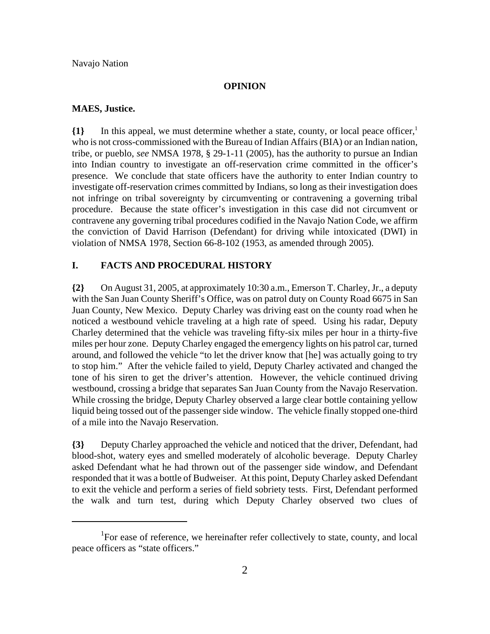#### **OPINION**

#### **MAES, Justice.**

**{1}** In this appeal, we must determine whether a state, county, or local peace officer,1 who is not cross-commissioned with the Bureau of Indian Affairs (BIA) or an Indian nation, tribe, or pueblo, *see* NMSA 1978, § 29-1-11 (2005), has the authority to pursue an Indian into Indian country to investigate an off-reservation crime committed in the officer's presence. We conclude that state officers have the authority to enter Indian country to investigate off-reservation crimes committed by Indians, so long as their investigation does not infringe on tribal sovereignty by circumventing or contravening a governing tribal procedure. Because the state officer's investigation in this case did not circumvent or contravene any governing tribal procedures codified in the Navajo Nation Code, we affirm the conviction of David Harrison (Defendant) for driving while intoxicated (DWI) in violation of NMSA 1978, Section 66-8-102 (1953, as amended through 2005).

## **I. FACTS AND PROCEDURAL HISTORY**

**{2}** On August 31, 2005, at approximately 10:30 a.m., Emerson T. Charley, Jr., a deputy with the San Juan County Sheriff's Office, was on patrol duty on County Road 6675 in San Juan County, New Mexico. Deputy Charley was driving east on the county road when he noticed a westbound vehicle traveling at a high rate of speed. Using his radar, Deputy Charley determined that the vehicle was traveling fifty-six miles per hour in a thirty-five miles per hour zone. Deputy Charley engaged the emergency lights on his patrol car, turned around, and followed the vehicle "to let the driver know that [he] was actually going to try to stop him." After the vehicle failed to yield, Deputy Charley activated and changed the tone of his siren to get the driver's attention. However, the vehicle continued driving westbound, crossing a bridge that separates San Juan County from the Navajo Reservation. While crossing the bridge, Deputy Charley observed a large clear bottle containing yellow liquid being tossed out of the passenger side window. The vehicle finally stopped one-third of a mile into the Navajo Reservation.

**{3}** Deputy Charley approached the vehicle and noticed that the driver, Defendant, had blood-shot, watery eyes and smelled moderately of alcoholic beverage. Deputy Charley asked Defendant what he had thrown out of the passenger side window, and Defendant responded that it was a bottle of Budweiser. At this point, Deputy Charley asked Defendant to exit the vehicle and perform a series of field sobriety tests. First, Defendant performed the walk and turn test, during which Deputy Charley observed two clues of

<sup>&</sup>lt;sup>1</sup>For ease of reference, we hereinafter refer collectively to state, county, and local peace officers as "state officers."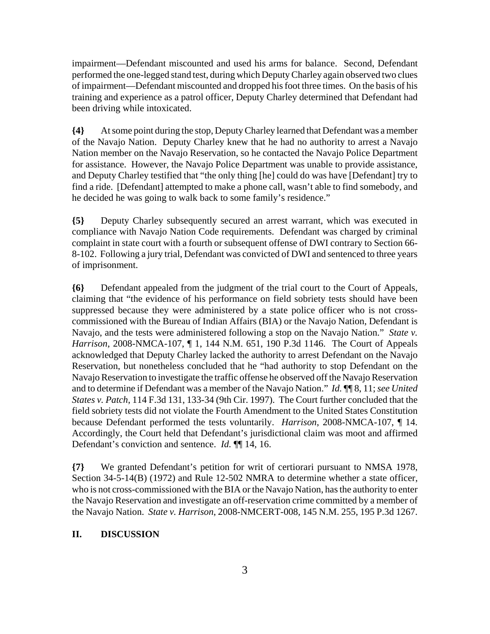impairment—Defendant miscounted and used his arms for balance. Second, Defendant performed the one-legged stand test, during which Deputy Charley again observed two clues of impairment—Defendant miscounted and dropped his foot three times. On the basis of his training and experience as a patrol officer, Deputy Charley determined that Defendant had been driving while intoxicated.

**{4}** At some point during the stop, Deputy Charley learned that Defendant was a member of the Navajo Nation. Deputy Charley knew that he had no authority to arrest a Navajo Nation member on the Navajo Reservation, so he contacted the Navajo Police Department for assistance. However, the Navajo Police Department was unable to provide assistance, and Deputy Charley testified that "the only thing [he] could do was have [Defendant] try to find a ride. [Defendant] attempted to make a phone call, wasn't able to find somebody, and he decided he was going to walk back to some family's residence."

**{5}** Deputy Charley subsequently secured an arrest warrant, which was executed in compliance with Navajo Nation Code requirements. Defendant was charged by criminal complaint in state court with a fourth or subsequent offense of DWI contrary to Section 66- 8-102. Following a jury trial, Defendant was convicted of DWI and sentenced to three years of imprisonment.

**{6}** Defendant appealed from the judgment of the trial court to the Court of Appeals, claiming that "the evidence of his performance on field sobriety tests should have been suppressed because they were administered by a state police officer who is not crosscommissioned with the Bureau of Indian Affairs (BIA) or the Navajo Nation, Defendant is Navajo, and the tests were administered following a stop on the Navajo Nation." *State v. Harrison*, 2008-NMCA-107, ¶ 1, 144 N.M. 651, 190 P.3d 1146. The Court of Appeals acknowledged that Deputy Charley lacked the authority to arrest Defendant on the Navajo Reservation, but nonetheless concluded that he "had authority to stop Defendant on the Navajo Reservation to investigate the traffic offense he observed off the Navajo Reservation and to determine if Defendant was a member of the Navajo Nation." *Id.* ¶¶ 8, 11; *see United States v. Patch*, 114 F.3d 131, 133-34 (9th Cir. 1997). The Court further concluded that the field sobriety tests did not violate the Fourth Amendment to the United States Constitution because Defendant performed the tests voluntarily. *Harrison*, 2008-NMCA-107, ¶ 14. Accordingly, the Court held that Defendant's jurisdictional claim was moot and affirmed Defendant's conviction and sentence. *Id.* ¶¶ 14, 16.

**{7}** We granted Defendant's petition for writ of certiorari pursuant to NMSA 1978, Section 34-5-14(B) (1972) and Rule 12-502 NMRA to determine whether a state officer, who is not cross-commissioned with the BIA or the Navajo Nation, has the authority to enter the Navajo Reservation and investigate an off-reservation crime committed by a member of the Navajo Nation. *State v. Harrison*, 2008-NMCERT-008, 145 N.M. 255, 195 P.3d 1267.

## **II. DISCUSSION**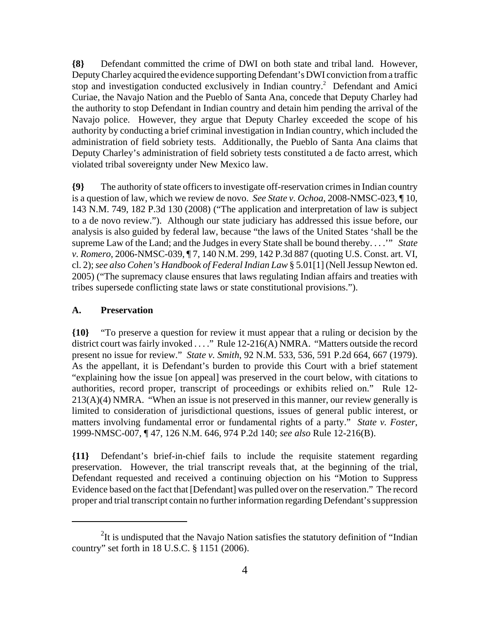**{8}** Defendant committed the crime of DWI on both state and tribal land. However, Deputy Charley acquired the evidence supporting Defendant's DWI conviction from a traffic stop and investigation conducted exclusively in Indian country.<sup>2</sup> Defendant and Amici Curiae, the Navajo Nation and the Pueblo of Santa Ana, concede that Deputy Charley had the authority to stop Defendant in Indian country and detain him pending the arrival of the Navajo police. However, they argue that Deputy Charley exceeded the scope of his authority by conducting a brief criminal investigation in Indian country, which included the administration of field sobriety tests. Additionally, the Pueblo of Santa Ana claims that Deputy Charley's administration of field sobriety tests constituted a de facto arrest, which violated tribal sovereignty under New Mexico law.

**{9}** The authority of state officers to investigate off-reservation crimes in Indian country is a question of law, which we review de novo. *See State v. Ochoa*, 2008-NMSC-023, ¶ 10, 143 N.M. 749, 182 P.3d 130 (2008) ("The application and interpretation of law is subject to a de novo review."). Although our state judiciary has addressed this issue before, our analysis is also guided by federal law, because "the laws of the United States 'shall be the supreme Law of the Land; and the Judges in every State shall be bound thereby. . . .'" *State v. Romero*, 2006-NMSC-039, ¶ 7, 140 N.M. 299, 142 P.3d 887 (quoting U.S. Const. art. VI, cl. 2); *see also Cohen's Handbook of Federal Indian Law* § 5.01[1] (Nell Jessup Newton ed. 2005) ("The supremacy clause ensures that laws regulating Indian affairs and treaties with tribes supersede conflicting state laws or state constitutional provisions.").

#### **A. Preservation**

**{10}** "To preserve a question for review it must appear that a ruling or decision by the district court was fairly invoked . . . ." Rule 12-216(A) NMRA. "Matters outside the record present no issue for review." *State v. Smith*, 92 N.M. 533, 536, 591 P.2d 664, 667 (1979). As the appellant, it is Defendant's burden to provide this Court with a brief statement "explaining how the issue [on appeal] was preserved in the court below, with citations to authorities, record proper, transcript of proceedings or exhibits relied on." Rule 12-  $213(A)(4)$  NMRA. "When an issue is not preserved in this manner, our review generally is limited to consideration of jurisdictional questions, issues of general public interest, or matters involving fundamental error or fundamental rights of a party." *State v. Foster*, 1999-NMSC-007, ¶ 47, 126 N.M. 646, 974 P.2d 140; *see also* Rule 12-216(B).

**{11}** Defendant's brief-in-chief fails to include the requisite statement regarding preservation. However, the trial transcript reveals that, at the beginning of the trial, Defendant requested and received a continuing objection on his "Motion to Suppress Evidence based on the fact that [Defendant] was pulled over on the reservation." The record proper and trial transcript contain no further information regarding Defendant's suppression

 $2$ It is undisputed that the Navajo Nation satisfies the statutory definition of "Indian" country" set forth in 18 U.S.C. § 1151 (2006).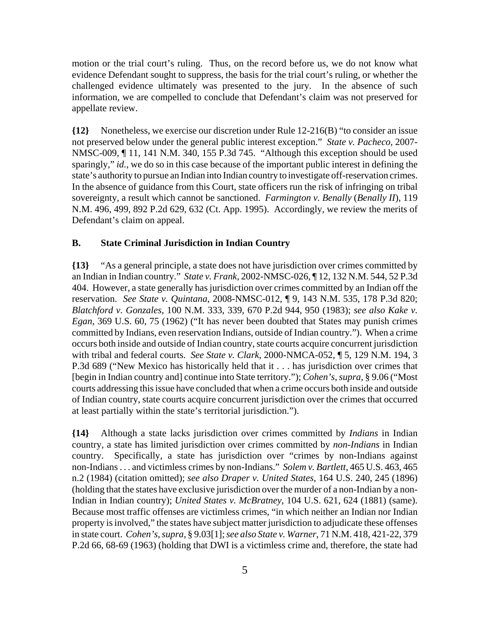motion or the trial court's ruling. Thus, on the record before us, we do not know what evidence Defendant sought to suppress, the basis for the trial court's ruling, or whether the challenged evidence ultimately was presented to the jury. In the absence of such information, we are compelled to conclude that Defendant's claim was not preserved for appellate review.

**{12}** Nonetheless, we exercise our discretion under Rule 12-216(B) "to consider an issue not preserved below under the general public interest exception." *State v. Pacheco*, 2007- NMSC-009, ¶ 11, 141 N.M. 340, 155 P.3d 745. "Although this exception should be used sparingly," *id.*, we do so in this case because of the important public interest in defining the state's authority to pursue an Indian into Indian country to investigate off-reservation crimes. In the absence of guidance from this Court, state officers run the risk of infringing on tribal sovereignty, a result which cannot be sanctioned. *Farmington v. Benally* (*Benally II*), 119 N.M. 496, 499, 892 P.2d 629, 632 (Ct. App. 1995). Accordingly, we review the merits of Defendant's claim on appeal.

## **B. State Criminal Jurisdiction in Indian Country**

**{13}** "As a general principle, a state does not have jurisdiction over crimes committed by an Indian in Indian country." *State v. Frank*, 2002-NMSC-026, ¶ 12, 132 N.M. 544, 52 P.3d 404. However, a state generally has jurisdiction over crimes committed by an Indian off the reservation. *See State v. Quintana*, 2008-NMSC-012, ¶ 9, 143 N.M. 535, 178 P.3d 820; *Blatchford v. Gonzales*, 100 N.M. 333, 339, 670 P.2d 944, 950 (1983); *see also Kake v. Egan*, 369 U.S. 60, 75 (1962) ("It has never been doubted that States may punish crimes committed by Indians, even reservation Indians, outside of Indian country."). When a crime occurs both inside and outside of Indian country, state courts acquire concurrent jurisdiction with tribal and federal courts. *See State v. Clark*, 2000-NMCA-052, ¶ 5, 129 N.M. 194, 3 P.3d 689 ("New Mexico has historically held that it . . . has jurisdiction over crimes that [begin in Indian country and] continue into State territory."); *Cohen's*, *supra*, § 9.06 ("Most courts addressing this issue have concluded that when a crime occurs both inside and outside of Indian country, state courts acquire concurrent jurisdiction over the crimes that occurred at least partially within the state's territorial jurisdiction.").

**{14}** Although a state lacks jurisdiction over crimes committed by *Indians* in Indian country, a state has limited jurisdiction over crimes committed by *non-Indians* in Indian country. Specifically, a state has jurisdiction over "crimes by non-Indians against non-Indians . . . and victimless crimes by non-Indians." *Solem v. Bartlett*, 465 U.S. 463, 465 n.2 (1984) (citation omitted); *see also Draper v. United States*, 164 U.S. 240, 245 (1896) (holding that the states have exclusive jurisdiction over the murder of a non-Indian by a non-Indian in Indian country); *United States v. McBratney*, 104 U.S. 621, 624 (1881) (same). Because most traffic offenses are victimless crimes, "in which neither an Indian nor Indian property is involved," the states have subject matter jurisdiction to adjudicate these offenses in state court. *Cohen's*, *supra*, § 9.03[1]; *see also State v. Warner*, 71 N.M. 418, 421-22, 379 P.2d 66, 68-69 (1963) (holding that DWI is a victimless crime and, therefore, the state had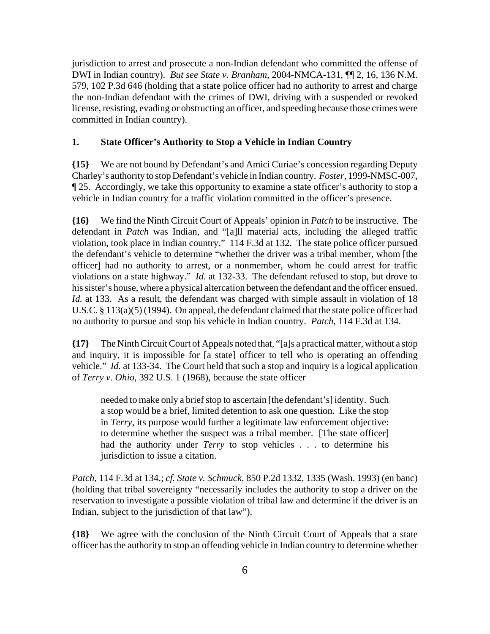jurisdiction to arrest and prosecute a non-Indian defendant who committed the offense of DWI in Indian country). *But see State v. Branham*, 2004-NMCA-131, ¶¶ 2, 16, 136 N.M. 579, 102 P.3d 646 (holding that a state police officer had no authority to arrest and charge the non-Indian defendant with the crimes of DWI, driving with a suspended or revoked license, resisting, evading or obstructing an officer, and speeding because those crimes were committed in Indian country).

## **1. State Officer's Authority to Stop a Vehicle in Indian Country**

**{15}** We are not bound by Defendant's and Amici Curiae's concession regarding Deputy Charley's authority to stop Defendant's vehicle in Indian country. *Foster*, 1999-NMSC-007, ¶ 25. Accordingly, we take this opportunity to examine a state officer's authority to stop a vehicle in Indian country for a traffic violation committed in the officer's presence.

**{16}** We find the Ninth Circuit Court of Appeals' opinion in *Patch* to be instructive. The defendant in *Patch* was Indian, and "[a]ll material acts, including the alleged traffic violation, took place in Indian country." 114 F.3d at 132. The state police officer pursued the defendant's vehicle to determine "whether the driver was a tribal member, whom [the officer] had no authority to arrest, or a nonmember, whom he could arrest for traffic violations on a state highway." *Id.* at 132-33. The defendant refused to stop, but drove to his sister's house, where a physical altercation between the defendant and the officer ensued. *Id.* at 133. As a result, the defendant was charged with simple assault in violation of 18 U.S.C. § 113(a)(5) (1994). On appeal, the defendant claimed that the state police officer had no authority to pursue and stop his vehicle in Indian country. *Patch*, 114 F.3d at 134.

**{17}** The Ninth Circuit Court of Appeals noted that, "[a]s a practical matter, without a stop and inquiry, it is impossible for [a state] officer to tell who is operating an offending vehicle." *Id.* at 133-34. The Court held that such a stop and inquiry is a logical application of *Terry v. Ohio*, 392 U.S. 1 (1968), because the state officer

needed to make only a brief stop to ascertain [the defendant's] identity. Such a stop would be a brief, limited detention to ask one question. Like the stop in *Terry*, its purpose would further a legitimate law enforcement objective: to determine whether the suspect was a tribal member. [The state officer] had the authority under *Terry* to stop vehicles . . . to determine his jurisdiction to issue a citation.

*Patch*, 114 F.3d at 134.; *cf. State v. Schmuck*, 850 P.2d 1332, 1335 (Wash. 1993) (en banc) (holding that tribal sovereignty "necessarily includes the authority to stop a driver on the reservation to investigate a possible violation of tribal law and determine if the driver is an Indian, subject to the jurisdiction of that law").

**{18}** We agree with the conclusion of the Ninth Circuit Court of Appeals that a state officer has the authority to stop an offending vehicle in Indian country to determine whether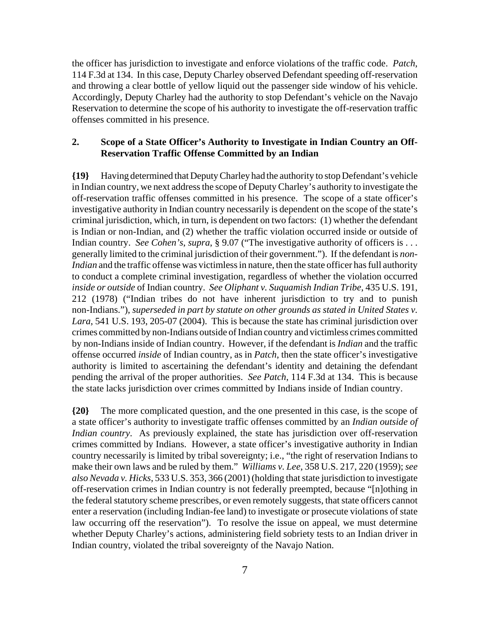the officer has jurisdiction to investigate and enforce violations of the traffic code. *Patch*, 114 F.3d at 134. In this case, Deputy Charley observed Defendant speeding off-reservation and throwing a clear bottle of yellow liquid out the passenger side window of his vehicle. Accordingly, Deputy Charley had the authority to stop Defendant's vehicle on the Navajo Reservation to determine the scope of his authority to investigate the off-reservation traffic offenses committed in his presence.

## **2. Scope of a State Officer's Authority to Investigate in Indian Country an Off-Reservation Traffic Offense Committed by an Indian**

**{19}** Having determined that Deputy Charley had the authority to stop Defendant's vehicle in Indian country, we next address the scope of Deputy Charley's authority to investigate the off-reservation traffic offenses committed in his presence. The scope of a state officer's investigative authority in Indian country necessarily is dependent on the scope of the state's criminal jurisdiction, which, in turn, is dependent on two factors: (1) whether the defendant is Indian or non-Indian, and (2) whether the traffic violation occurred inside or outside of Indian country. *See Cohen's*, *supra*, § 9.07 ("The investigative authority of officers is . . . generally limited to the criminal jurisdiction of their government."). If the defendant is *non-Indian* and the traffic offense was victimless in nature, then the state officer has full authority to conduct a complete criminal investigation, regardless of whether the violation occurred *inside or outside* of Indian country. *See Oliphant v. Suquamish Indian Tribe*, 435 U.S. 191, 212 (1978) ("Indian tribes do not have inherent jurisdiction to try and to punish non-Indians."), *superseded in part by statute on other grounds as stated in United States v. Lara*, 541 U.S. 193, 205-07 (2004). This is because the state has criminal jurisdiction over crimes committed by non-Indians outside of Indian country and victimless crimes committed by non-Indians inside of Indian country. However, if the defendant is *Indian* and the traffic offense occurred *inside* of Indian country, as in *Patch*, then the state officer's investigative authority is limited to ascertaining the defendant's identity and detaining the defendant pending the arrival of the proper authorities. *See Patch*, 114 F.3d at 134. This is because the state lacks jurisdiction over crimes committed by Indians inside of Indian country.

**{20}** The more complicated question, and the one presented in this case, is the scope of a state officer's authority to investigate traffic offenses committed by an *Indian outside of Indian country*. As previously explained, the state has jurisdiction over off-reservation crimes committed by Indians. However, a state officer's investigative authority in Indian country necessarily is limited by tribal sovereignty; i.e., "the right of reservation Indians to make their own laws and be ruled by them." *Williams v. Lee*, 358 U.S. 217, 220 (1959); *see also Nevada v. Hicks*, 533 U.S. 353, 366 (2001) (holding that state jurisdiction to investigate off-reservation crimes in Indian country is not federally preempted, because "[n]othing in the federal statutory scheme prescribes, or even remotely suggests, that state officers cannot enter a reservation (including Indian-fee land) to investigate or prosecute violations of state law occurring off the reservation"). To resolve the issue on appeal, we must determine whether Deputy Charley's actions, administering field sobriety tests to an Indian driver in Indian country, violated the tribal sovereignty of the Navajo Nation.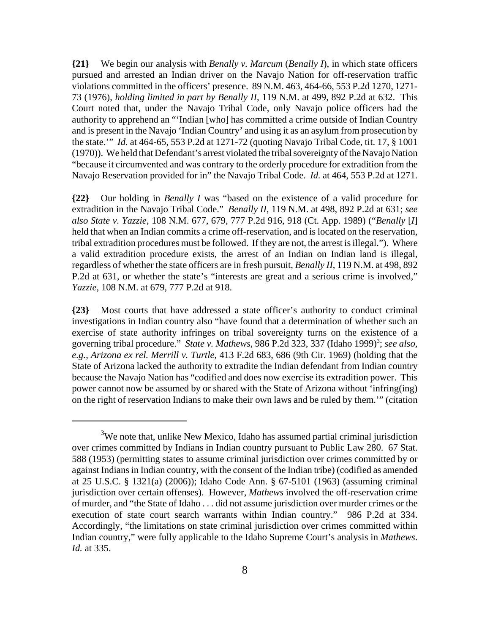**{21}** We begin our analysis with *Benally v. Marcum* (*Benally I*), in which state officers pursued and arrested an Indian driver on the Navajo Nation for off-reservation traffic violations committed in the officers' presence. 89 N.M. 463, 464-66, 553 P.2d 1270, 1271- 73 (1976), *holding limited in part by Benally II*, 119 N.M. at 499, 892 P.2d at 632. This Court noted that, under the Navajo Tribal Code, only Navajo police officers had the authority to apprehend an "'Indian [who] has committed a crime outside of Indian Country and is present in the Navajo 'Indian Country' and using it as an asylum from prosecution by the state.'" *Id.* at 464-65, 553 P.2d at 1271-72 (quoting Navajo Tribal Code, tit. 17, § 1001 (1970)). We held that Defendant's arrest violated the tribal sovereignty of the Navajo Nation "because it circumvented and was contrary to the orderly procedure for extradition from the Navajo Reservation provided for in" the Navajo Tribal Code. *Id.* at 464, 553 P.2d at 1271.

**{22}** Our holding in *Benally I* was "based on the existence of a valid procedure for extradition in the Navajo Tribal Code." *Benally II*, 119 N.M. at 498, 892 P.2d at 631; *see also State v. Yazzie*, 108 N.M. 677, 679, 777 P.2d 916, 918 (Ct. App. 1989) ("*Benally* [*I*] held that when an Indian commits a crime off-reservation, and is located on the reservation, tribal extradition procedures must be followed. If they are not, the arrest is illegal."). Where a valid extradition procedure exists, the arrest of an Indian on Indian land is illegal, regardless of whether the state officers are in fresh pursuit, *Benally II*, 119 N.M. at 498, 892 P.2d at 631, or whether the state's "interests are great and a serious crime is involved," *Yazzie*, 108 N.M. at 679, 777 P.2d at 918.

**{23}** Most courts that have addressed a state officer's authority to conduct criminal investigations in Indian country also "have found that a determination of whether such an exercise of state authority infringes on tribal sovereignty turns on the existence of a governing tribal procedure." *State v. Mathews*, 986 P.2d 323, 337 (Idaho 1999)<sup>3</sup>; *see also*, *e.g.*, *Arizona ex rel. Merrill v. Turtle*, 413 F.2d 683, 686 (9th Cir. 1969) (holding that the State of Arizona lacked the authority to extradite the Indian defendant from Indian country because the Navajo Nation has "codified and does now exercise its extradition power. This power cannot now be assumed by or shared with the State of Arizona without 'infring(ing) on the right of reservation Indians to make their own laws and be ruled by them.'" (citation

 $3$ We note that, unlike New Mexico, Idaho has assumed partial criminal jurisdiction over crimes committed by Indians in Indian country pursuant to Public Law 280. 67 Stat. 588 (1953) (permitting states to assume criminal jurisdiction over crimes committed by or against Indians in Indian country, with the consent of the Indian tribe) (codified as amended at 25 U.S.C. § 1321(a) (2006)); Idaho Code Ann. § 67-5101 (1963) (assuming criminal jurisdiction over certain offenses). However, *Mathews* involved the off-reservation crime of murder, and "the State of Idaho . . . did not assume jurisdiction over murder crimes or the execution of state court search warrants within Indian country." 986 P.2d at 334. Accordingly, "the limitations on state criminal jurisdiction over crimes committed within Indian country," were fully applicable to the Idaho Supreme Court's analysis in *Mathews*. *Id.* at 335.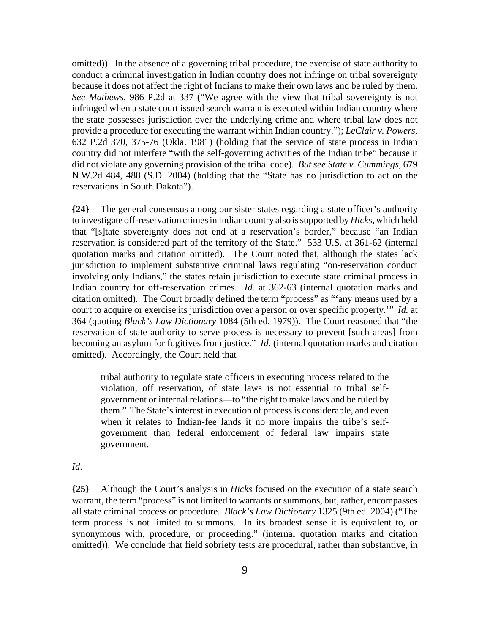omitted)). In the absence of a governing tribal procedure, the exercise of state authority to conduct a criminal investigation in Indian country does not infringe on tribal sovereignty because it does not affect the right of Indians to make their own laws and be ruled by them. *See Mathews*, 986 P.2d at 337 ("We agree with the view that tribal sovereignty is not infringed when a state court issued search warrant is executed within Indian country where the state possesses jurisdiction over the underlying crime and where tribal law does not provide a procedure for executing the warrant within Indian country."); *LeClair v. Powers*, 632 P.2d 370, 375-76 (Okla. 1981) (holding that the service of state process in Indian country did not interfere "with the self-governing activities of the Indian tribe" because it did not violate any governing provision of the tribal code). *But see State v. Cummings*, 679 N.W.2d 484, 488 (S.D. 2004) (holding that the "State has no jurisdiction to act on the reservations in South Dakota").

**{24}** The general consensus among our sister states regarding a state officer's authority to investigate off-reservation crimes in Indian country also is supported by *Hicks*, which held that "[s]tate sovereignty does not end at a reservation's border," because "an Indian reservation is considered part of the territory of the State." 533 U.S. at 361-62 (internal quotation marks and citation omitted). The Court noted that, although the states lack jurisdiction to implement substantive criminal laws regulating "on-reservation conduct involving only Indians," the states retain jurisdiction to execute state criminal process in Indian country for off-reservation crimes. *Id.* at 362-63 (internal quotation marks and citation omitted). The Court broadly defined the term "process" as "'any means used by a court to acquire or exercise its jurisdiction over a person or over specific property.'" *Id.* at 364 (quoting *Black's Law Dictionary* 1084 (5th ed. 1979)). The Court reasoned that "the reservation of state authority to serve process is necessary to prevent [such areas] from becoming an asylum for fugitives from justice." *Id.* (internal quotation marks and citation omitted). Accordingly, the Court held that

tribal authority to regulate state officers in executing process related to the violation, off reservation, of state laws is not essential to tribal selfgovernment or internal relations—to "the right to make laws and be ruled by them." The State's interest in execution of process is considerable, and even when it relates to Indian-fee lands it no more impairs the tribe's selfgovernment than federal enforcement of federal law impairs state government.

### *Id*.

**{25}** Although the Court's analysis in *Hicks* focused on the execution of a state search warrant, the term "process" is not limited to warrants or summons, but, rather, encompasses all state criminal process or procedure. *Black's Law Dictionary* 1325 (9th ed. 2004) ("The term process is not limited to summons. In its broadest sense it is equivalent to, or synonymous with, procedure, or proceeding." (internal quotation marks and citation omitted)). We conclude that field sobriety tests are procedural, rather than substantive, in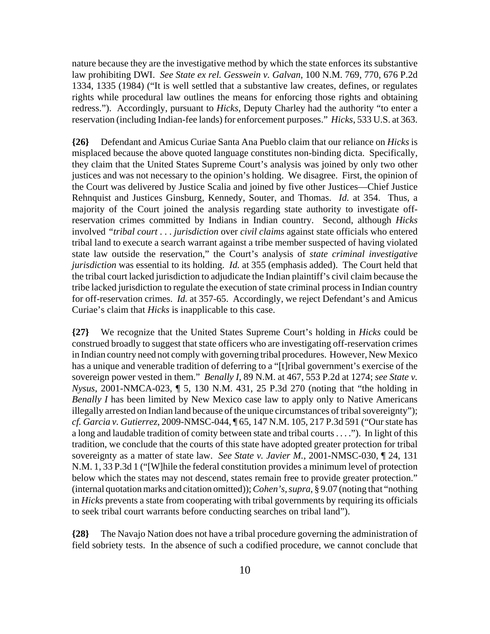nature because they are the investigative method by which the state enforces its substantive law prohibiting DWI. *See State ex rel. Gesswein v. Galvan*, 100 N.M. 769, 770, 676 P.2d 1334, 1335 (1984) ("It is well settled that a substantive law creates, defines, or regulates rights while procedural law outlines the means for enforcing those rights and obtaining redress."). Accordingly, pursuant to *Hicks*, Deputy Charley had the authority "to enter a reservation (including Indian-fee lands) for enforcement purposes." *Hicks*, 533 U.S. at 363.

**{26}** Defendant and Amicus Curiae Santa Ana Pueblo claim that our reliance on *Hicks* is misplaced because the above quoted language constitutes non-binding dicta. Specifically, they claim that the United States Supreme Court's analysis was joined by only two other justices and was not necessary to the opinion's holding. We disagree. First, the opinion of the Court was delivered by Justice Scalia and joined by five other Justices—Chief Justice Rehnquist and Justices Ginsburg, Kennedy, Souter, and Thomas. *Id.* at 354. Thus, a majority of the Court joined the analysis regarding state authority to investigate offreservation crimes committed by Indians in Indian country. Second, although *Hicks* involved *"tribal court* . . . *jurisdiction* over *civil claims* against state officials who entered tribal land to execute a search warrant against a tribe member suspected of having violated state law outside the reservation," the Court's analysis of *state criminal investigative jurisdiction* was essential to its holding. *Id.* at 355 (emphasis added). The Court held that the tribal court lacked jurisdiction to adjudicate the Indian plaintiff's civil claim because the tribe lacked jurisdiction to regulate the execution of state criminal process in Indian country for off-reservation crimes. *Id.* at 357-65. Accordingly, we reject Defendant's and Amicus Curiae's claim that *Hicks* is inapplicable to this case.

**{27}** We recognize that the United States Supreme Court's holding in *Hicks* could be construed broadly to suggest that state officers who are investigating off-reservation crimes in Indian country need not comply with governing tribal procedures. However, New Mexico has a unique and venerable tradition of deferring to a "[t]ribal government's exercise of the sovereign power vested in them." *Benally I*, 89 N.M. at 467, 553 P.2d at 1274; *see State v. Nysus*, 2001-NMCA-023, ¶ 5, 130 N.M. 431, 25 P.3d 270 (noting that "the holding in *Benally I* has been limited by New Mexico case law to apply only to Native Americans illegally arrested on Indian land because of the unique circumstances of tribal sovereignty"); *cf. Garcia v. Gutierrez*, 2009-NMSC-044, ¶ 65, 147 N.M. 105, 217 P.3d 591 ("Our state has a long and laudable tradition of comity between state and tribal courts . . . ."). In light of this tradition, we conclude that the courts of this state have adopted greater protection for tribal sovereignty as a matter of state law. *See State v. Javier M.*, 2001-NMSC-030, ¶ 24, 131 N.M. 1, 33 P.3d 1 ("[W]hile the federal constitution provides a minimum level of protection below which the states may not descend, states remain free to provide greater protection." (internal quotation marks and citation omitted)); *Cohen's*, *supra*, § 9.07 (noting that "nothing in *Hicks* prevents a state from cooperating with tribal governments by requiring its officials to seek tribal court warrants before conducting searches on tribal land").

**{28}** The Navajo Nation does not have a tribal procedure governing the administration of field sobriety tests. In the absence of such a codified procedure, we cannot conclude that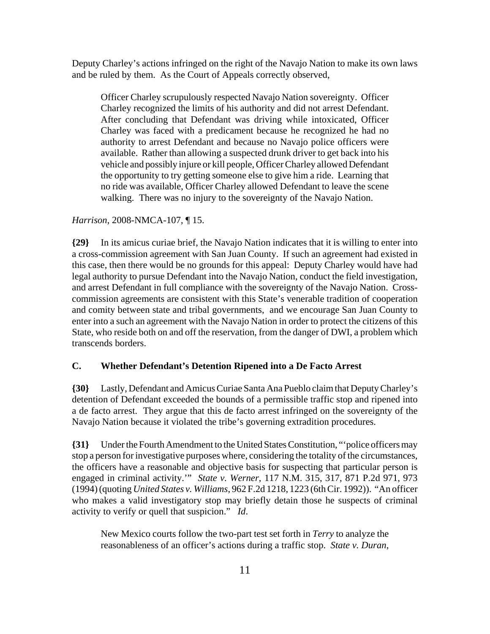Deputy Charley's actions infringed on the right of the Navajo Nation to make its own laws and be ruled by them. As the Court of Appeals correctly observed,

Officer Charley scrupulously respected Navajo Nation sovereignty. Officer Charley recognized the limits of his authority and did not arrest Defendant. After concluding that Defendant was driving while intoxicated, Officer Charley was faced with a predicament because he recognized he had no authority to arrest Defendant and because no Navajo police officers were available. Rather than allowing a suspected drunk driver to get back into his vehicle and possibly injure or kill people, Officer Charley allowed Defendant the opportunity to try getting someone else to give him a ride. Learning that no ride was available, Officer Charley allowed Defendant to leave the scene walking. There was no injury to the sovereignty of the Navajo Nation.

## *Harrison*, 2008-NMCA-107, ¶ 15.

**{29}** In its amicus curiae brief, the Navajo Nation indicates that it is willing to enter into a cross-commission agreement with San Juan County. If such an agreement had existed in this case, then there would be no grounds for this appeal: Deputy Charley would have had legal authority to pursue Defendant into the Navajo Nation, conduct the field investigation, and arrest Defendant in full compliance with the sovereignty of the Navajo Nation. Crosscommission agreements are consistent with this State's venerable tradition of cooperation and comity between state and tribal governments, and we encourage San Juan County to enter into a such an agreement with the Navajo Nation in order to protect the citizens of this State, who reside both on and off the reservation, from the danger of DWI, a problem which transcends borders.

### **C. Whether Defendant's Detention Ripened into a De Facto Arrest**

**{30}** Lastly, Defendant and Amicus Curiae Santa Ana Pueblo claim that Deputy Charley's detention of Defendant exceeded the bounds of a permissible traffic stop and ripened into a de facto arrest. They argue that this de facto arrest infringed on the sovereignty of the Navajo Nation because it violated the tribe's governing extradition procedures.

**{31}** Under the Fourth Amendment to the United States Constitution, "'police officers may stop a person for investigative purposes where, considering the totality of the circumstances, the officers have a reasonable and objective basis for suspecting that particular person is engaged in criminal activity.'" *State v. Werner*, 117 N.M. 315, 317, 871 P.2d 971, 973 (1994) (quoting *United States v. Williams*, 962 F.2d 1218, 1223 (6th Cir. 1992)). "An officer who makes a valid investigatory stop may briefly detain those he suspects of criminal activity to verify or quell that suspicion." *Id*.

New Mexico courts follow the two-part test set forth in *Terry* to analyze the reasonableness of an officer's actions during a traffic stop. *State v. Duran*,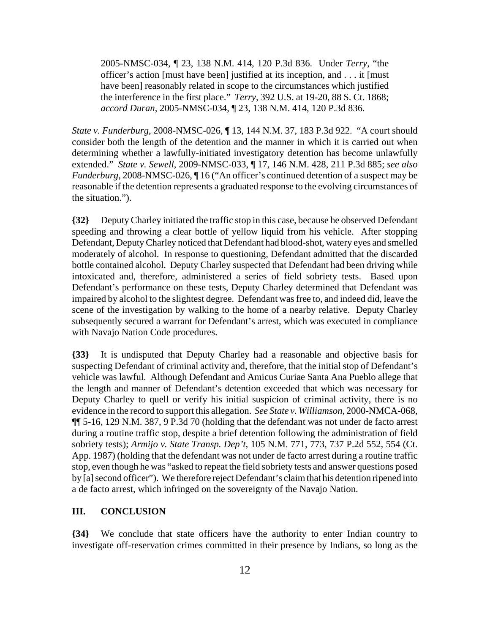2005-NMSC-034, ¶ 23, 138 N.M. 414, 120 P.3d 836. Under *Terry*, "the officer's action [must have been] justified at its inception, and . . . it [must have been] reasonably related in scope to the circumstances which justified the interference in the first place." *Terry*, 392 U.S. at 19-20, 88 S. Ct. 1868; *accord Duran*, 2005-NMSC-034, ¶ 23, 138 N.M. 414, 120 P.3d 836.

*State v. Funderburg*, 2008-NMSC-026, ¶ 13, 144 N.M. 37, 183 P.3d 922. "A court should consider both the length of the detention and the manner in which it is carried out when determining whether a lawfully-initiated investigatory detention has become unlawfully extended." *State v. Sewell*, 2009-NMSC-033, ¶ 17, 146 N.M. 428, 211 P.3d 885; *see also Funderburg*, 2008-NMSC-026,  $\P$ 16 ("An officer's continued detention of a suspect may be reasonable if the detention represents a graduated response to the evolving circumstances of the situation.").

**{32}** Deputy Charley initiated the traffic stop in this case, because he observed Defendant speeding and throwing a clear bottle of yellow liquid from his vehicle. After stopping Defendant, Deputy Charley noticed that Defendant had blood-shot, watery eyes and smelled moderately of alcohol. In response to questioning, Defendant admitted that the discarded bottle contained alcohol. Deputy Charley suspected that Defendant had been driving while intoxicated and, therefore, administered a series of field sobriety tests. Based upon Defendant's performance on these tests, Deputy Charley determined that Defendant was impaired by alcohol to the slightest degree. Defendant was free to, and indeed did, leave the scene of the investigation by walking to the home of a nearby relative. Deputy Charley subsequently secured a warrant for Defendant's arrest, which was executed in compliance with Navajo Nation Code procedures.

**{33}** It is undisputed that Deputy Charley had a reasonable and objective basis for suspecting Defendant of criminal activity and, therefore, that the initial stop of Defendant's vehicle was lawful. Although Defendant and Amicus Curiae Santa Ana Pueblo allege that the length and manner of Defendant's detention exceeded that which was necessary for Deputy Charley to quell or verify his initial suspicion of criminal activity, there is no evidence in the record to support this allegation. *See State v. Williamson*, 2000-NMCA-068, ¶¶ 5-16, 129 N.M. 387, 9 P.3d 70 (holding that the defendant was not under de facto arrest during a routine traffic stop, despite a brief detention following the administration of field sobriety tests); *Armijo v. State Transp. Dep't*, 105 N.M. 771, 773, 737 P.2d 552, 554 (Ct. App. 1987) (holding that the defendant was not under de facto arrest during a routine traffic stop, even though he was "asked to repeat the field sobriety tests and answer questions posed by [a] second officer"). We therefore reject Defendant's claim that his detention ripened into a de facto arrest, which infringed on the sovereignty of the Navajo Nation.

## **III. CONCLUSION**

**{34}** We conclude that state officers have the authority to enter Indian country to investigate off-reservation crimes committed in their presence by Indians, so long as the